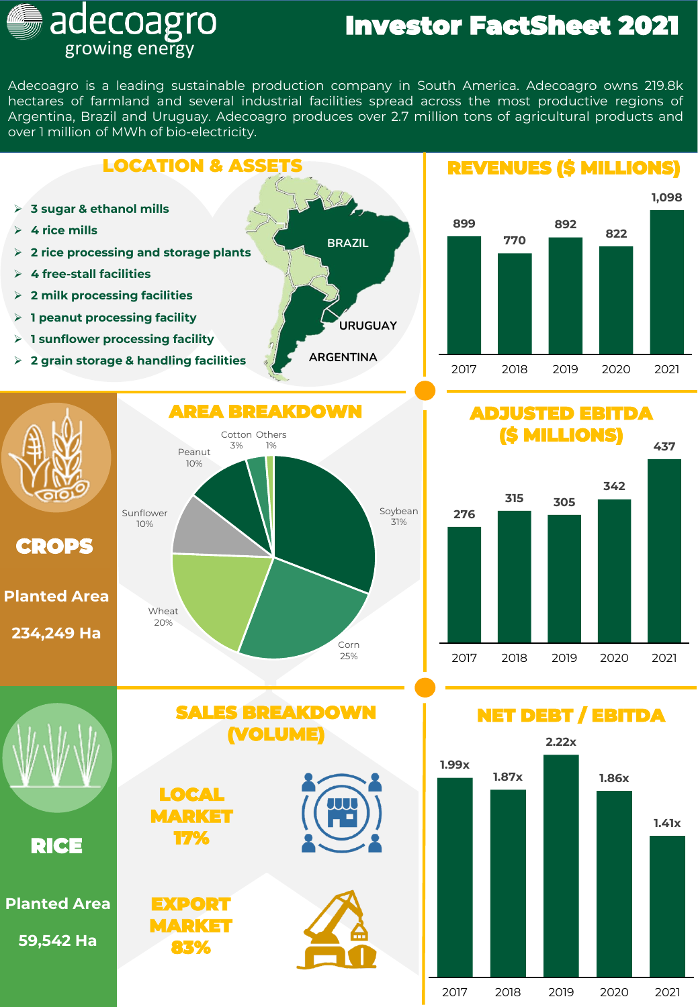## Investor FactSheet 2021

Adecoagro is a leading sustainable production company in South America. Adecoagro owns 219.8k hectares of farmland and several industrial facilities spread across the most productive regions of Argentina, Brazil and Uruguay. Adecoagro produces over 2.7 million tons of agricultural products and over 1 million of MWh of bio-electricity.

growing energy

adecoagro **J** 



<sup>2017</sup> 2018 2019 2020 2021